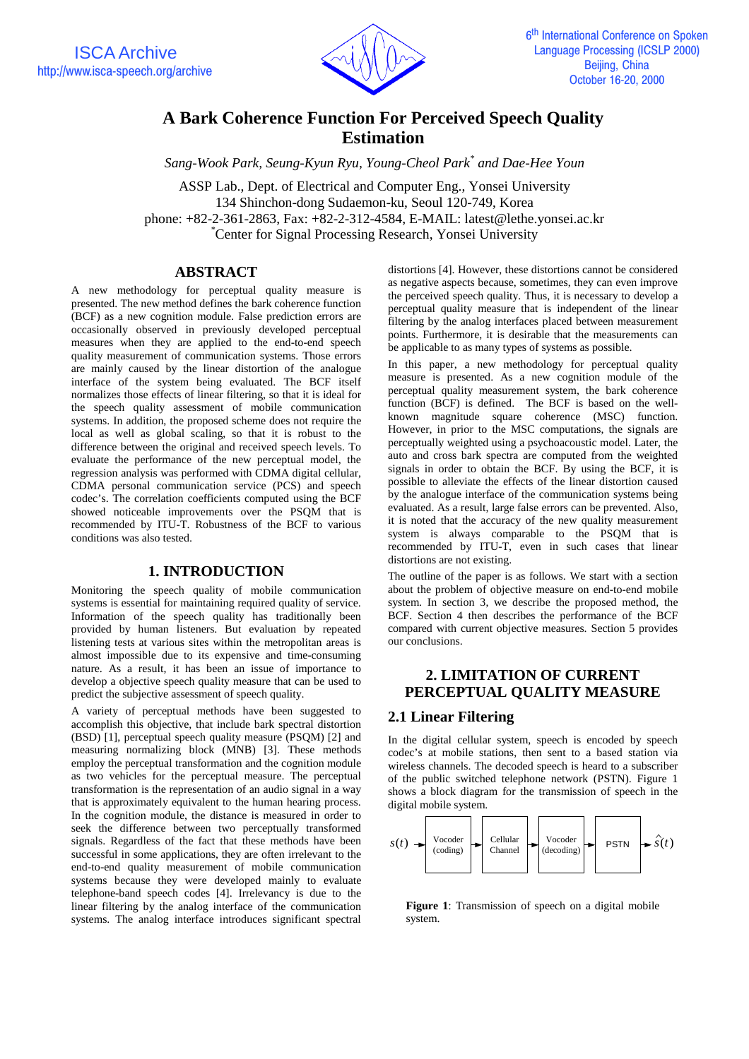

# **A Bark Coherence Function For Perceived Speech Quality Estimation**

*Sang-Wook Park, Seung-Kyun Ryu, Young-Cheol Park\* and Dae-Hee Youn*

ASSP Lab., Dept. of Electrical and Computer Eng., Yonsei University 134 Shinchon-dong Sudaemon-ku, Seoul 120-749, Korea phone: +82-2-361-2863, Fax: +82-2-312-4584, E-MAIL: latest@lethe.yonsei.ac.kr \* Center for Signal Processing Research, Yonsei University

## **ABSTRACT**

A new methodology for perceptual quality measure is presented. The new method defines the bark coherence function (BCF) as a new cognition module. False prediction errors are occasionally observed in previously developed perceptual measures when they are applied to the end-to-end speech quality measurement of communication systems. Those errors are mainly caused by the linear distortion of the analogue interface of the system being evaluated. The BCF itself normalizes those effects of linear filtering, so that it is ideal for the speech quality assessment of mobile communication systems. In addition, the proposed scheme does not require the local as well as global scaling, so that it is robust to the difference between the original and received speech levels. To evaluate the performance of the new perceptual model, the regression analysis was performed with CDMA digital cellular, CDMA personal communication service (PCS) and speech codec's. The correlation coefficients computed using the BCF showed noticeable improvements over the PSQM that is recommended by ITU-T. Robustness of the BCF to various conditions was also tested.

## **1. INTRODUCTION**

Monitoring the speech quality of mobile communication systems is essential for maintaining required quality of service. Information of the speech quality has traditionally been provided by human listeners. But evaluation by repeated listening tests at various sites within the metropolitan areas is almost impossible due to its expensive and time-consuming nature. As a result, it has been an issue of importance to develop a objective speech quality measure that can be used to predict the subjective assessment of speech quality.

A variety of perceptual methods have been suggested to accomplish this objective, that include bark spectral distortion (BSD) [1], perceptual speech quality measure (PSQM) [2] and measuring normalizing block (MNB) [3]. These methods employ the perceptual transformation and the cognition module as two vehicles for the perceptual measure. The perceptual transformation is the representation of an audio signal in a way that is approximately equivalent to the human hearing process. In the cognition module, the distance is measured in order to seek the difference between two perceptually transformed signals. Regardless of the fact that these methods have been successful in some applications, they are often irrelevant to the end-to-end quality measurement of mobile communication systems because they were developed mainly to evaluate telephone-band speech codes [4]. Irrelevancy is due to the linear filtering by the analog interface of the communication systems. The analog interface introduces significant spectral

distortions [4]. However, these distortions cannot be considered as negative aspects because, sometimes, they can even improve the perceived speech quality. Thus, it is necessary to develop a perceptual quality measure that is independent of the linear filtering by the analog interfaces placed between measurement points. Furthermore, it is desirable that the measurements can be applicable to as many types of systems as possible.

In this paper, a new methodology for perceptual quality measure is presented. As a new cognition module of the perceptual quality measurement system, the bark coherence function (BCF) is defined. The BCF is based on the wellknown magnitude square coherence (MSC) function. However, in prior to the MSC computations, the signals are perceptually weighted using a psychoacoustic model. Later, the auto and cross bark spectra are computed from the weighted signals in order to obtain the BCF. By using the BCF, it is possible to alleviate the effects of the linear distortion caused by the analogue interface of the communication systems being evaluated. As a result, large false errors can be prevented. Also, it is noted that the accuracy of the new quality measurement system is always comparable to the PSQM that is recommended by ITU-T, even in such cases that linear distortions are not existing.

The outline of the paper is as follows. We start with a section about the problem of objective measure on end-to-end mobile system. In section 3, we describe the proposed method, the BCF. Section 4 then describes the performance of the BCF compared with current objective measures. Section 5 provides our conclusions.

# **2. LIMITATION OF CURRENT PERCEPTUAL QUALITY MEASURE**

## **2.1 Linear Filtering**

In the digital cellular system, speech is encoded by speech codec's at mobile stations, then sent to a based station via wireless channels. The decoded speech is heard to a subscriber of the public switched telephone network (PSTN). Figure 1 shows a block diagram for the transmission of speech in the digital mobile system.



**Figure 1**: Transmission of speech on a digital mobile system.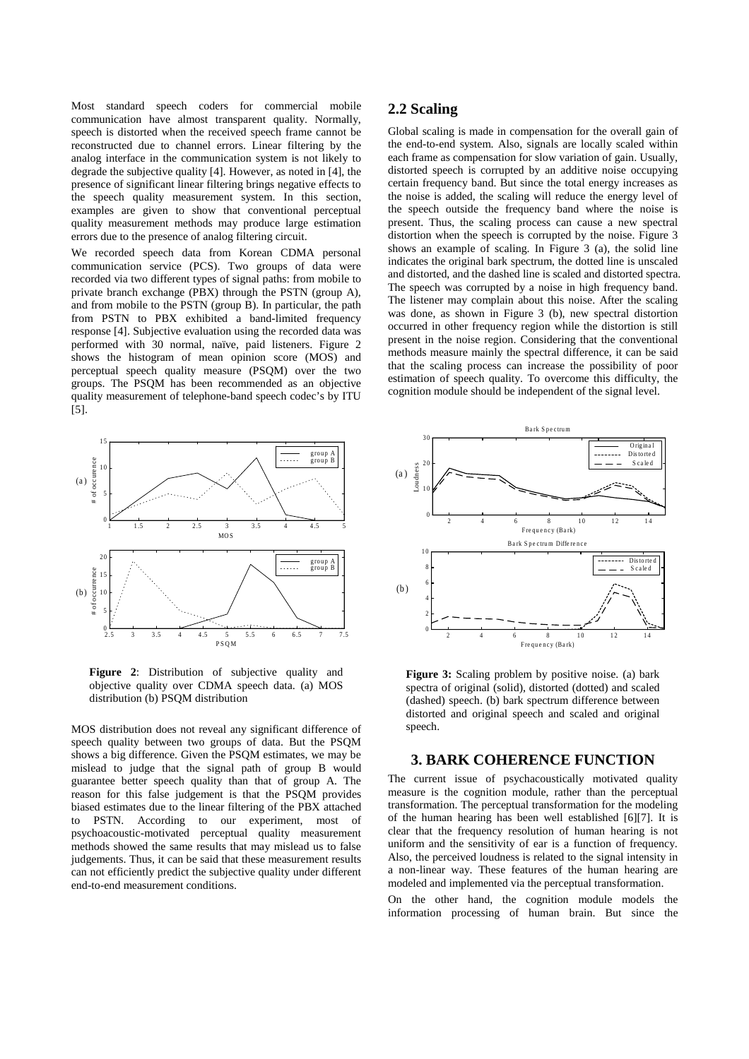Most standard speech coders for commercial mobile communication have almost transparent quality. Normally, speech is distorted when the received speech frame cannot be reconstructed due to channel errors. Linear filtering by the analog interface in the communication system is not likely to degrade the subjective quality [4]. However, as noted in [4], the presence of significant linear filtering brings negative effects to the speech quality measurement system. In this section, examples are given to show that conventional perceptual quality measurement methods may produce large estimation errors due to the presence of analog filtering circuit.

We recorded speech data from Korean CDMA personal communication service (PCS). Two groups of data were recorded via two different types of signal paths: from mobile to private branch exchange (PBX) through the PSTN (group A), and from mobile to the PSTN (group B). In particular, the path from PSTN to PBX exhibited a band-limited frequency response [4]. Subjective evaluation using the recorded data was performed with 30 normal, naïve, paid listeners. Figure 2 shows the histogram of mean opinion score (MOS) and perceptual speech quality measure (PSQM) over the two groups. The PSQM has been recommended as an objective quality measurement of telephone-band speech codec's by ITU [5].



Figure 2: Distribution of subjective quality and objective quality over CDMA speech data. (a) MOS distribution (b) PSQM distribution

MOS distribution does not reveal any significant difference of speech quality between two groups of data. But the PSQM shows a big difference. Given the PSQM estimates, we may be mislead to judge that the signal path of group B would guarantee better speech quality than that of group A. The reason for this false judgement is that the PSQM provides biased estimates due to the linear filtering of the PBX attached to PSTN. According to our experiment, most of psychoacoustic-motivated perceptual quality measurement methods showed the same results that may mislead us to false judgements. Thus, it can be said that these measurement results can not efficiently predict the subjective quality under different end-to-end measurement conditions.

## **2.2 Scaling**

Global scaling is made in compensation for the overall gain of the end-to-end system. Also, signals are locally scaled within each frame as compensation for slow variation of gain. Usually, distorted speech is corrupted by an additive noise occupying certain frequency band. But since the total energy increases as the noise is added, the scaling will reduce the energy level of the speech outside the frequency band where the noise is present. Thus, the scaling process can cause a new spectral distortion when the speech is corrupted by the noise. Figure 3 shows an example of scaling. In Figure 3 (a), the solid line indicates the original bark spectrum, the dotted line is unscaled and distorted, and the dashed line is scaled and distorted spectra. The speech was corrupted by a noise in high frequency band. The listener may complain about this noise. After the scaling was done, as shown in Figure 3 (b), new spectral distortion occurred in other frequency region while the distortion is still present in the noise region. Considering that the conventional methods measure mainly the spectral difference, it can be said that the scaling process can increase the possibility of poor estimation of speech quality. To overcome this difficulty, the cognition module should be independent of the signal level.



**Figure 3:** Scaling problem by positive noise. (a) bark spectra of original (solid), distorted (dotted) and scaled (dashed) speech. (b) bark spectrum difference between distorted and original speech and scaled and original speech.

## **3. BARK COHERENCE FUNCTION**

The current issue of psychacoustically motivated quality measure is the cognition module, rather than the perceptual transformation. The perceptual transformation for the modeling of the human hearing has been well established [6][7]. It is clear that the frequency resolution of human hearing is not uniform and the sensitivity of ear is a function of frequency. Also, the perceived loudness is related to the signal intensity in a non-linear way. These features of the human hearing are modeled and implemented via the perceptual transformation.

On the other hand, the cognition module models the information processing of human brain. But since the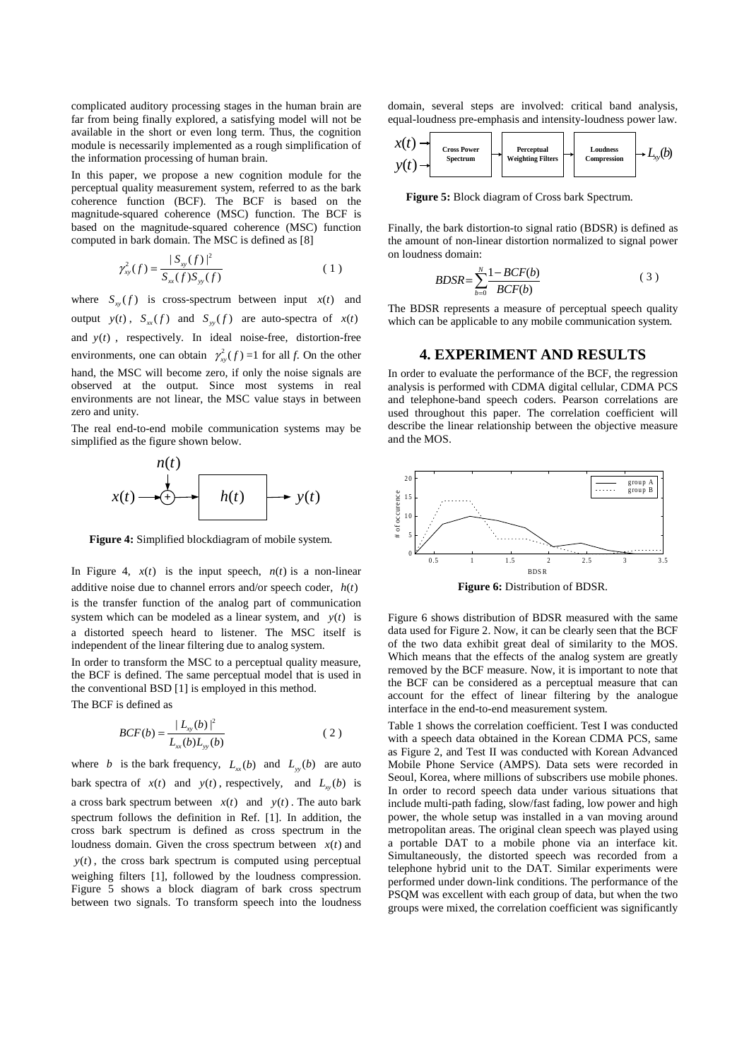complicated auditory processing stages in the human brain are far from being finally explored, a satisfying model will not be available in the short or even long term. Thus, the cognition module is necessarily implemented as a rough simplification of the information processing of human brain.

In this paper, we propose a new cognition module for the perceptual quality measurement system, referred to as the bark coherence function (BCF). The BCF is based on the magnitude-squared coherence (MSC) function. The BCF is based on the magnitude-squared coherence (MSC) function computed in bark domain. The MSC is defined as [8]

$$
\gamma_{xy}^2(f) = \frac{|S_{xy}(f)|^2}{S_{xx}(f)S_{yy}(f)}
$$
\n(1)

where  $S_{\text{av}}(f)$  is cross-spectrum between input  $x(t)$  and output  $y(t)$ ,  $S_{xx}(f)$  and  $S_{yy}(f)$  are auto-spectra of  $x(t)$ and *y*(*t*) , respectively. In ideal noise-free, distortion-free environments, one can obtain  $\gamma_w^2(f) = 1$  for all *f*. On the other hand, the MSC will become zero, if only the noise signals are observed at the output. Since most systems in real environments are not linear, the MSC value stays in between zero and unity.

The real end-to-end mobile communication systems may be simplified as the figure shown below.



**Figure 4:** Simplified blockdiagram of mobile system.

In Figure 4,  $x(t)$  is the input speech,  $n(t)$  is a non-linear additive noise due to channel errors and/or speech coder, *h*(*t*) is the transfer function of the analog part of communication system which can be modeled as a linear system, and *y*(*t*) is a distorted speech heard to listener. The MSC itself is independent of the linear filtering due to analog system.

In order to transform the MSC to a perceptual quality measure, the BCF is defined. The same perceptual model that is used in the conventional BSD [1] is employed in this method. The BCF is defined as

$$
BCF(b) = \frac{|L_{xy}(b)|^2}{L_{xx}(b)L_{yy}(b)}
$$
 (2)

where *b* is the bark frequency,  $L_{rr}(b)$  and  $L_{rr}(b)$  are auto bark spectra of  $x(t)$  and  $y(t)$ , respectively, and  $L_{xy}(b)$  is a cross bark spectrum between  $x(t)$  and  $y(t)$ . The auto bark spectrum follows the definition in Ref. [1]. In addition, the cross bark spectrum is defined as cross spectrum in the loudness domain. Given the cross spectrum between  $x(t)$  and  $y(t)$ , the cross bark spectrum is computed using perceptual weighing filters [1], followed by the loudness compression. Figure 5 shows a block diagram of bark cross spectrum between two signals. To transform speech into the loudness domain, several steps are involved: critical band analysis, equal-loudness pre-emphasis and intensity-loudness power law.



**Figure 5:** Block diagram of Cross bark Spectrum.

Finally, the bark distortion-to signal ratio (BDSR) is defined as the amount of non-linear distortion normalized to signal power on loudness domain:

$$
BDSR = \sum_{b=0}^{N} \frac{1 - BCF(b)}{BCF(b)}\tag{3}
$$

The BDSR represents a measure of perceptual speech quality which can be applicable to any mobile communication system.

#### **4. EXPERIMENT AND RESULTS**

In order to evaluate the performance of the BCF, the regression analysis is performed with CDMA digital cellular, CDMA PCS and telephone-band speech coders. Pearson correlations are used throughout this paper. The correlation coefficient will describe the linear relationship between the objective measure and the MOS.



Figure 6 shows distribution of BDSR measured with the same data used for Figure 2. Now, it can be clearly seen that the BCF of the two data exhibit great deal of similarity to the MOS. Which means that the effects of the analog system are greatly removed by the BCF measure. Now, it is important to note that

the BCF can be considered as a perceptual measure that can account for the effect of linear filtering by the analogue

interface in the end-to-end measurement system.

Table 1 shows the correlation coefficient. Test I was conducted with a speech data obtained in the Korean CDMA PCS, same as Figure 2, and Test II was conducted with Korean Advanced Mobile Phone Service (AMPS). Data sets were recorded in Seoul, Korea, where millions of subscribers use mobile phones. In order to record speech data under various situations that include multi-path fading, slow/fast fading, low power and high power, the whole setup was installed in a van moving around metropolitan areas. The original clean speech was played using a portable DAT to a mobile phone via an interface kit. Simultaneously, the distorted speech was recorded from a telephone hybrid unit to the DAT. Similar experiments were performed under down-link conditions. The performance of the PSQM was excellent with each group of data, but when the two groups were mixed, the correlation coefficient was significantly